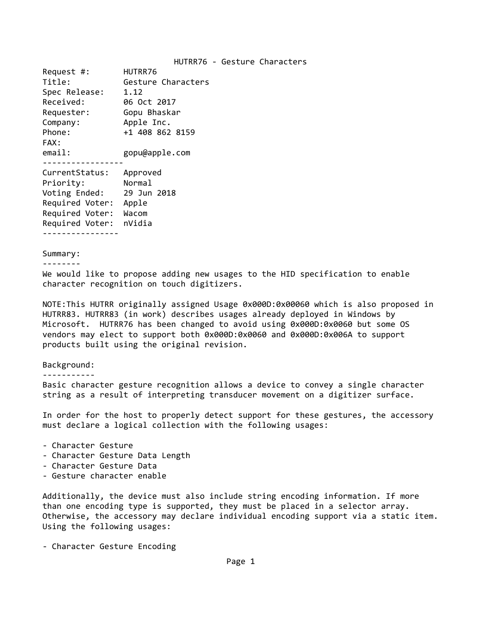### HUTRR76 ‐ Gesture Characters

Request #: HUTRR76 Title: Gesture Characters Spec Release: 1.12 Received: 06 Oct 2017 Requester: Gopu Bhaskar Company: Apple Inc. Phone: +1 408 862 8159 FAX: email: gopu@apple.com ‐‐‐‐‐‐‐‐‐‐‐‐‐‐‐‐‐ CurrentStatus: Approved Priority: Normal Voting Ended: 29 Jun 2018 Required Voter: Apple Required Voter: Wacom Required Voter: nVidia ‐‐‐‐‐‐‐‐‐‐‐‐‐‐‐‐

### Summary:

```
‐‐‐‐‐‐‐‐
```
We would like to propose adding new usages to the HID specification to enable character recognition on touch digitizers.

NOTE:This HUTRR originally assigned Usage 0x000D:0x00060 which is also proposed in HUTRR83. HUTRR83 (in work) describes usages already deployed in Windows by Microsoft. HUTRR76 has been changed to avoid using 0x000D:0x0060 but some OS vendors may elect to support both 0x000D:0x0060 and 0x000D:0x006A to support products built using the original revision.

#### Background:

‐‐‐‐‐‐‐‐‐‐‐

Basic character gesture recognition allows a device to convey a single character string as a result of interpreting transducer movement on a digitizer surface.

In order for the host to properly detect support for these gestures, the accessory must declare a logical collection with the following usages:

- ‐ Character Gesture
- ‐ Character Gesture Data Length
- ‐ Character Gesture Data
- ‐ Gesture character enable

Additionally, the device must also include string encoding information. If more than one encoding type is supported, they must be placed in a selector array. Otherwise, the accessory may declare individual encoding support via a static item. Using the following usages:

‐ Character Gesture Encoding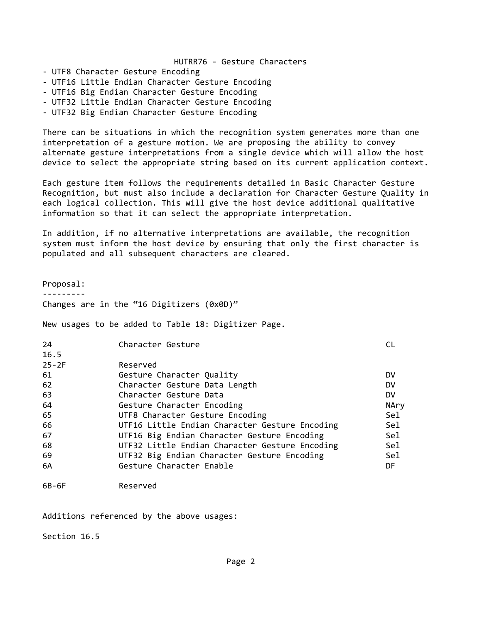## HUTRR76 ‐ Gesture Characters

- ‐ UTF8 Character Gesture Encoding
- ‐ UTF16 Little Endian Character Gesture Encoding
- ‐ UTF16 Big Endian Character Gesture Encoding
- ‐ UTF32 Little Endian Character Gesture Encoding
- ‐ UTF32 Big Endian Character Gesture Encoding

There can be situations in which the recognition system generates more than one interpretation of a gesture motion. We are proposing the ability to convey alternate gesture interpretations from a single device which will allow the host device to select the appropriate string based on its current application context.

Each gesture item follows the requirements detailed in Basic Character Gesture Recognition, but must also include a declaration for Character Gesture Quality in each logical collection. This will give the host device additional qualitative information so that it can select the appropriate interpretation.

In addition, if no alternative interpretations are available, the recognition system must inform the host device by ensuring that only the first character is populated and all subsequent characters are cleared.

Proposal: ‐‐‐‐‐‐‐‐‐ Changes are in the "16 Digitizers (0x0D)"

New usages to be added to Table 18: Digitizer Page.

| 24        | Character Gesture                              |           |
|-----------|------------------------------------------------|-----------|
| 16.5      |                                                |           |
| $25 - 2F$ | Reserved                                       |           |
| 61        | Gesture Character Quality                      | DV        |
| 62        | Character Gesture Data Length                  | DV        |
| 63        | Character Gesture Data                         | <b>DV</b> |
| 64        | Gesture Character Encoding                     | NAry      |
| 65        | UTF8 Character Gesture Encoding                | Sel.      |
| 66        | UTF16 Little Endian Character Gesture Encoding | Sel       |
| 67        | UTF16 Big Endian Character Gesture Encoding    | Sel       |
| 68        | UTF32 Little Endian Character Gesture Encoding | Sel       |
| 69        | UTF32 Big Endian Character Gesture Encoding    | Sel       |
| 6A        | Gesture Character Enable                       | DF        |

6B‐6F Reserved

Additions referenced by the above usages:

Section 16.5